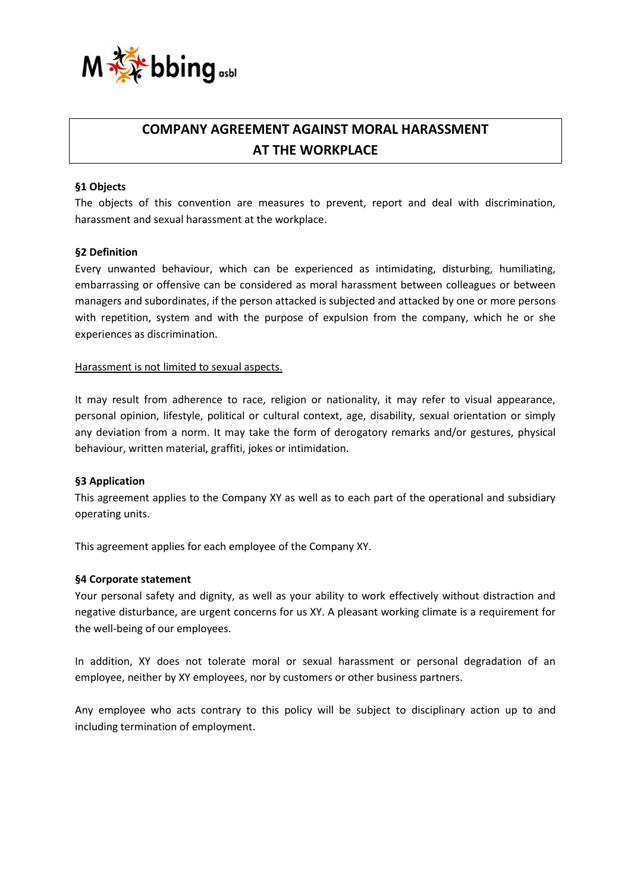

# **COMPANY AGREEMENT AGAINST MORAL HARASSMENT AT THE WORKPLACE**

# **§1 Objects**

The objects of this convention are measures to prevent, report and deal with discrimination, harassment and sexual harassment at the workplace.

#### **§2 Definition**

Every unwanted behaviour, which can be experienced as intimidating, disturbing, humiliating, embarrassing or offensive can be considered as moral harassment between colleagues or between managers and subordinates, if the person attacked is subjected and attacked by one or more persons with repetition, system and with the purpose of expulsion from the company, which he or she experiences as discrimination.

#### Harassment is not limited to sexual aspects.

It may result from adherence to race, religion or nationality, it may refer to visual appearance, personal opinion, lifestyle, political or cultural context, age, disability, sexual orientation or simply any deviation from a norm. It may take the form of derogatory remarks and/or gestures, physical behaviour, written material, graffiti, jokes or intimidation.

# **§3 Application**

This agreement applies to the Company XY as well as to each part of the operational and subsidiary operating units.

This agreement applies for each employee of the Company XY.

#### **§4 Corporate statement**

Your personal safety and dignity, as well as your ability to work effectively without distraction and negative disturbance, are urgent concerns for us XY. A pleasant working climate is a requirement for the well-being of our employees.

In addition, XY does not tolerate moral or sexual harassment or personal degradation of an employee, neither by XY employees, nor by customers or other business partners.

Any employee who acts contrary to this policy will be subject to disciplinary action up to and including termination of employment.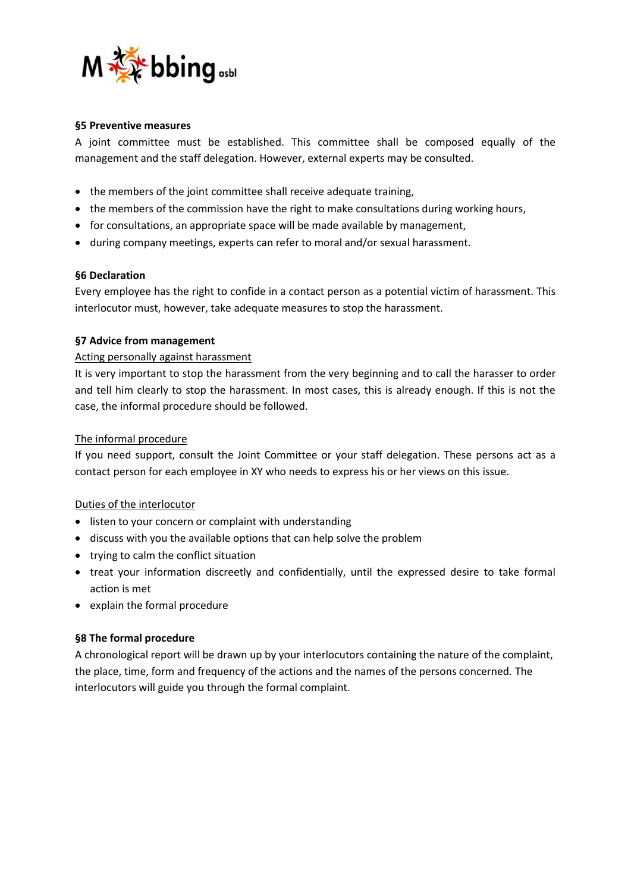

# **§5 Preventive measures**

A joint committee must be established. This committee shall be composed equally of the management and the staff delegation. However, external experts may be consulted.

- the members of the joint committee shall receive adequate training,
- the members of the commission have the right to make consultations during working hours,
- for consultations, an appropriate space will be made available by management,
- during company meetings, experts can refer to moral and/or sexual harassment.

# **§6 Declaration**

Every employee has the right to confide in a contact person as a potential victim of harassment. This interlocutor must, however, take adequate measures to stop the harassment.

#### **§7 Advice from management**

#### Acting personally against harassment

It is very important to stop the harassment from the very beginning and to call the harasser to order and tell him clearly to stop the harassment. In most cases, this is already enough. If this is not the case, the informal procedure should be followed.

#### The informal procedure

If you need support, consult the Joint Committee or your staff delegation. These persons act as a contact person for each employee in XY who needs to express his or her views on this issue.

# Duties of the interlocutor

- listen to your concern or complaint with understanding
- discuss with you the available options that can help solve the problem
- trying to calm the conflict situation
- treat your information discreetly and confidentially, until the expressed desire to take formal action is met
- explain the formal procedure

# **§8 The formal procedure**

A chronological report will be drawn up by your interlocutors containing the nature of the complaint, the place, time, form and frequency of the actions and the names of the persons concerned. The interlocutors will guide you through the formal complaint.